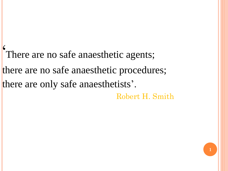' There are no safe anaesthetic agents; there are no safe anaesthetic procedures; there are only safe anaesthetists'. Robert H. Smith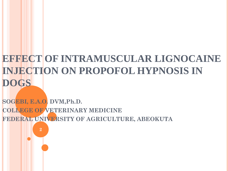# **EFFECT OF INTRAMUSCULAR LIGNOCAINE INJECTION ON PROPOFOL HYPNOSIS IN DOGS**

**SOGEBI, E.A.O. DVM,Ph.D. COLLEGE OF VETERINARY MEDICINE FEDERAL UNIVERSITY OF AGRICULTURE, ABEOKUTA**

**2**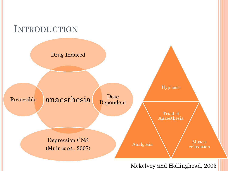

Mckelvey and Hollinghead, 2003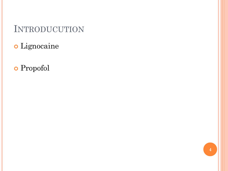# INTRODUCUTION

- Lignocaine
- Propofol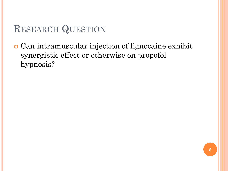# RESEARCH QUESTION

 Can intramuscular injection of lignocaine exhibit synergistic effect or otherwise on propofol hypnosis?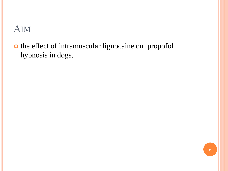## AIM

o the effect of intramuscular lignocaine on propofol hypnosis in dogs.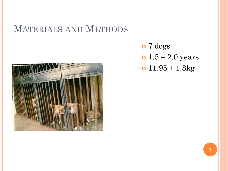## MATERIALS AND METHODS



 7 dogs •  $1.5 - 2.0$  years  $0.11.95 \pm 1.8$ kg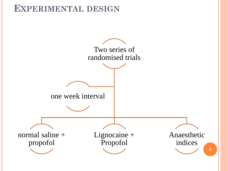#### **EXPERIMENTAL DESIGN**

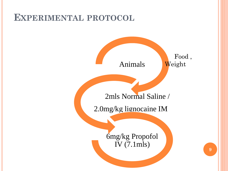## **EXPERIMENTAL PROTOCOL**

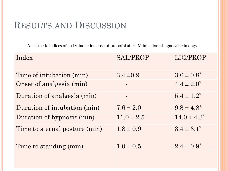## RESULTS AND DISCUSSION

Anaesthetic indices of an IV induction dose of propofol after IM injection of lignocaine in dogs.

| Index                         | <b>SAL/PROP</b> | LIG/PROP         |
|-------------------------------|-----------------|------------------|
|                               |                 |                  |
| Time of intubation (min)      | $3.4 \pm 0.9$   | $3.6 \pm 0.8^*$  |
| Onset of analgesia (min)      |                 | $4.4 \pm 2.0^*$  |
| Duration of analgesia (min)   |                 | $5.4 \pm 1.2^*$  |
| Duration of intubation (min)  | $7.6 \pm 2.0$   | $9.8 \pm 4.8^*$  |
| Duration of hypnosis (min)    | $11.0 \pm 2.5$  | $14.0 \pm 4.3^*$ |
| Time to sternal posture (min) | $1.8 \pm 0.9$   | $3.4 \pm 3.1^*$  |
| Time to standing (min)        | $1.0 \pm 0.5$   | $2.4 \pm 0.9^*$  |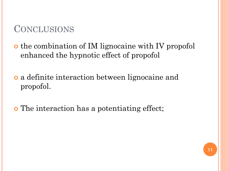# **CONCLUSIONS**

o the combination of IM lignocaine with IV propofol enhanced the hypnotic effect of propofol

 a definite interaction between lignocaine and propofol.

**o** The interaction has a potentiating effect;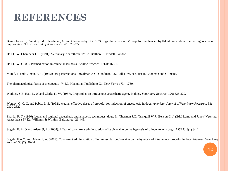## **REFERENCES**

Ben-Shlomo, I., Tverskoy, M., Fleyshman, G. and Chernasvsky G. (1997): Hypothic effect of IV propofol is enhanced by IM administration of either lignocaine or bupivacaine. *British Journal of Anaesthesia*. 78: 375-377.

Hall L. W, Chambers J. P. (1991): Veterinary Anaesthesia 9<sup>th</sup> Ed. Bailliere & Tindall, London.

Hall L. W. (1985). Premedication in canine anaesthesia. *Canine Practice*. 12(4): 16-21.

Murad, F. and Gilman, A. G (1985): Drug interactions. In:Gilman A.G. Goodman L.S. Rall T. W. *et al* (Eds). Goodman and GIlmans.

The pharmacological basis of therapeutic  $7<sup>th</sup>$  Ed. Macmillan Publishing Co. New York; 1734-1750.

Watkins, S.B, Hall, L. W and Clarke K. W. (1987). Propofol as an intravenous anaesthetic agent. In dogs. *Veterinary Records*. 120: 326-329.

Watney, G. C. G, and Pablo, L. S. (1992). Median effective doses of propofol for induction of anaesthesia in dogs. *American Journal of Veterinary Research*. 53: 2320-2322.

Skarda, R. T. (1996): Local and regional anaesthetic and analgesic techniques; dogs. In: Thurmon J.C., Tranquili W.J., Benson G. J. (Eds) Lumb and Jones' Veterinary Anaestheisa 3 rd Ed. Williams & Wilkins, Baltimore; 426-448.

Sogebi, E. A. O and Adetunji, A. (2008). Effect of concurrent administration of bupivacaine on the hypnosis of thiopentone in dogs. *ASSET.* 8(1):8-12.

Sogebi, E.A.O. and Adetunji, A. (2009). Concurrent administration of intramuscular bupivacaine on the hypnosis of intravenous propofol in dogs. *Nigerian Veterinary Journal*. 30 (2): 40-44.